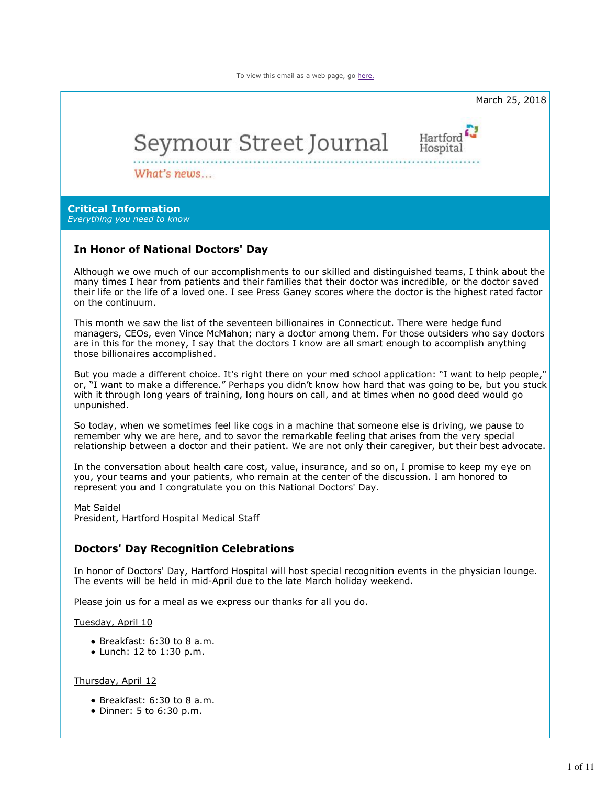To view this email as a web page, go here.



But you made a different choice. It's right there on your med school application: "I want to help people," or, "I want to make a difference." Perhaps you didn't know how hard that was going to be, but you stuck with it through long years of training, long hours on call, and at times when no good deed would go unpunished.

So today, when we sometimes feel like cogs in a machine that someone else is driving, we pause to remember why we are here, and to savor the remarkable feeling that arises from the very special relationship between a doctor and their patient. We are not only their caregiver, but their best advocate.

In the conversation about health care cost, value, insurance, and so on, I promise to keep my eye on you, your teams and your patients, who remain at the center of the discussion. I am honored to represent you and I congratulate you on this National Doctors' Day.

Mat Saidel

President, Hartford Hospital Medical Staff

# **Doctors' Day Recognition Celebrations**

In honor of Doctors' Day, Hartford Hospital will host special recognition events in the physician lounge. The events will be held in mid-April due to the late March holiday weekend.

Please join us for a meal as we express our thanks for all you do.

#### Tuesday, April 10

- Breakfast: 6:30 to 8 a.m.
- Lunch: 12 to 1:30 p.m.

#### Thursday, April 12

- Breakfast: 6:30 to 8 a.m.
- Dinner: 5 to 6:30 p.m.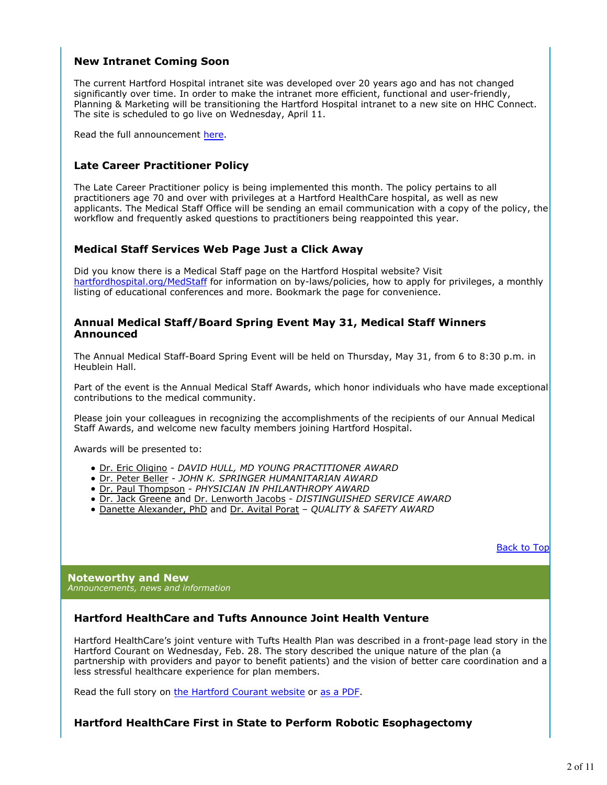## **New Intranet Coming Soon**

The current Hartford Hospital intranet site was developed over 20 years ago and has not changed significantly over time. In order to make the intranet more efficient, functional and user-friendly, Planning & Marketing will be transitioning the Hartford Hospital intranet to a new site on HHC Connect. The site is scheduled to go live on Wednesday, April 11.

Read the full announcement here.

# **Late Career Practitioner Policy**

The Late Career Practitioner policy is being implemented this month. The policy pertains to all practitioners age 70 and over with privileges at a Hartford HealthCare hospital, as well as new applicants. The Medical Staff Office will be sending an email communication with a copy of the policy, the workflow and frequently asked questions to practitioners being reappointed this year.

## **Medical Staff Services Web Page Just a Click Away**

Did you know there is a Medical Staff page on the Hartford Hospital website? Visit hartfordhospital.org/MedStaff for information on by-laws/policies, how to apply for privileges, a monthly listing of educational conferences and more. Bookmark the page for convenience.

### **Annual Medical Staff/Board Spring Event May 31, Medical Staff Winners Announced**

The Annual Medical Staff-Board Spring Event will be held on Thursday, May 31, from 6 to 8:30 p.m. in Heublein Hall.

Part of the event is the Annual Medical Staff Awards, which honor individuals who have made exceptional contributions to the medical community.

Please join your colleagues in recognizing the accomplishments of the recipients of our Annual Medical Staff Awards, and welcome new faculty members joining Hartford Hospital.

Awards will be presented to:

- Dr. Eric Oligino *DAVID HULL, MD YOUNG PRACTITIONER AWARD*
- Dr. Peter Beller *JOHN K. SPRINGER HUMANITARIAN AWARD*
- Dr. Paul Thompson *PHYSICIAN IN PHILANTHROPY AWARD*
- Dr. Jack Greene and Dr. Lenworth Jacobs *DISTINGUISHED SERVICE AWARD*
- Danette Alexander, PhD and Dr. Avital Porat *QUALITY & SAFETY AWARD*

Back to Top

**Noteworthy and New** *Announcements, news and information*

# **Hartford HealthCare and Tufts Announce Joint Health Venture**

Hartford HealthCare's joint venture with Tufts Health Plan was described in a front-page lead story in the Hartford Courant on Wednesday, Feb. 28. The story described the unique nature of the plan (a partnership with providers and payor to benefit patients) and the vision of better care coordination and a less stressful healthcare experience for plan members.

Read the full story on the Hartford Courant website or as a PDF.

# **Hartford HealthCare First in State to Perform Robotic Esophagectomy**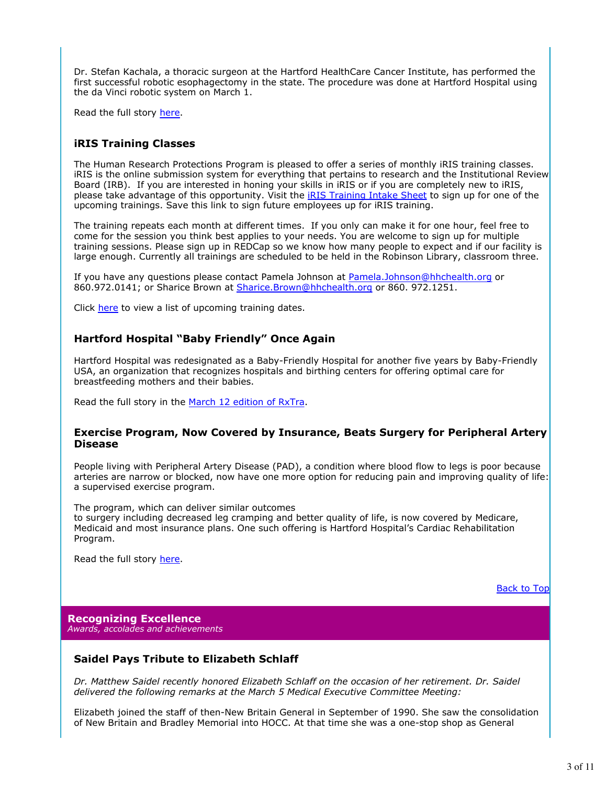Dr. Stefan Kachala, a thoracic surgeon at the Hartford HealthCare Cancer Institute, has performed the first successful robotic esophagectomy in the state. The procedure was done at Hartford Hospital using the da Vinci robotic system on March 1.

Read the full story here.

## **iRIS Training Classes**

The Human Research Protections Program is pleased to offer a series of monthly iRIS training classes. iRIS is the online submission system for everything that pertains to research and the Institutional Review Board (IRB). If you are interested in honing your skills in iRIS or if you are completely new to iRIS, please take advantage of this opportunity. Visit the *IRIS Training Intake Sheet* to sign up for one of the upcoming trainings. Save this link to sign future employees up for iRIS training.

The training repeats each month at different times. If you only can make it for one hour, feel free to come for the session you think best applies to your needs. You are welcome to sign up for multiple training sessions. Please sign up in REDCap so we know how many people to expect and if our facility is large enough. Currently all trainings are scheduled to be held in the Robinson Library, classroom three.

If you have any questions please contact Pamela Johnson at Pamela.Johnson@hhchealth.org or 860.972.0141; or Sharice Brown at Sharice.Brown@hhchealth.org or 860. 972.1251.

Click here to view a list of upcoming training dates.

## **Hartford Hospital "Baby Friendly" Once Again**

Hartford Hospital was redesignated as a Baby-Friendly Hospital for another five years by Baby-Friendly USA, an organization that recognizes hospitals and birthing centers for offering optimal care for breastfeeding mothers and their babies.

Read the full story in the March 12 edition of RxTra.

### **Exercise Program, Now Covered by Insurance, Beats Surgery for Peripheral Artery Disease**

People living with Peripheral Artery Disease (PAD), a condition where blood flow to legs is poor because arteries are narrow or blocked, now have one more option for reducing pain and improving quality of life: a supervised exercise program.

The program, which can deliver similar outcomes to surgery including decreased leg cramping and better quality of life, is now covered by Medicare, Medicaid and most insurance plans. One such offering is Hartford Hospital's Cardiac Rehabilitation Program.

Read the full story here.

Back to Top

**Recognizing Excellence** *Awards, accolades and achievements*

## **Saidel Pays Tribute to Elizabeth Schlaff**

*Dr. Matthew Saidel recently honored Elizabeth Schlaff on the occasion of her retirement. Dr. Saidel delivered the following remarks at the March 5 Medical Executive Committee Meeting:*

Elizabeth joined the staff of then-New Britain General in September of 1990. She saw the consolidation of New Britain and Bradley Memorial into HOCC. At that time she was a one-stop shop as General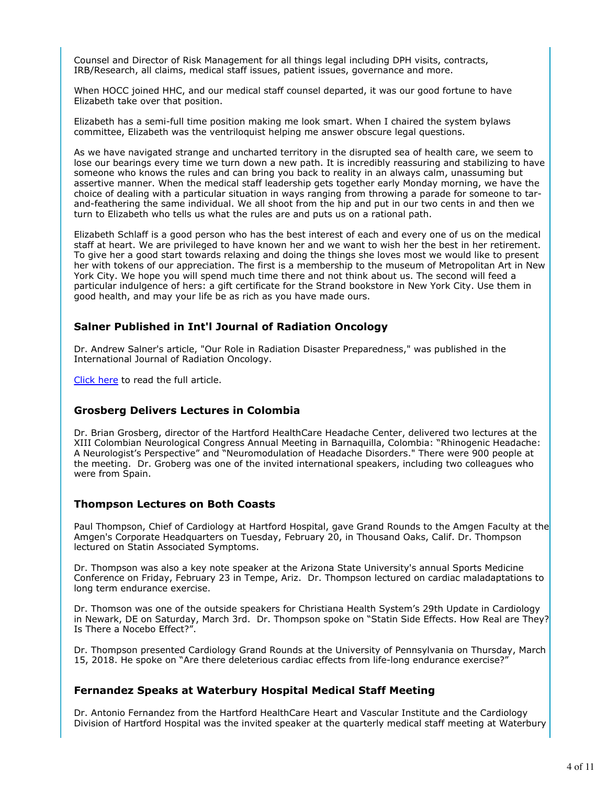Counsel and Director of Risk Management for all things legal including DPH visits, contracts, IRB/Research, all claims, medical staff issues, patient issues, governance and more.

When HOCC joined HHC, and our medical staff counsel departed, it was our good fortune to have Elizabeth take over that position.

Elizabeth has a semi-full time position making me look smart. When I chaired the system bylaws committee, Elizabeth was the ventriloquist helping me answer obscure legal questions.

As we have navigated strange and uncharted territory in the disrupted sea of health care, we seem to lose our bearings every time we turn down a new path. It is incredibly reassuring and stabilizing to have someone who knows the rules and can bring you back to reality in an always calm, unassuming but assertive manner. When the medical staff leadership gets together early Monday morning, we have the choice of dealing with a particular situation in ways ranging from throwing a parade for someone to tarand-feathering the same individual. We all shoot from the hip and put in our two cents in and then we turn to Elizabeth who tells us what the rules are and puts us on a rational path.

Elizabeth Schlaff is a good person who has the best interest of each and every one of us on the medical staff at heart. We are privileged to have known her and we want to wish her the best in her retirement. To give her a good start towards relaxing and doing the things she loves most we would like to present her with tokens of our appreciation. The first is a membership to the museum of Metropolitan Art in New York City. We hope you will spend much time there and not think about us. The second will feed a particular indulgence of hers: a gift certificate for the Strand bookstore in New York City. Use them in good health, and may your life be as rich as you have made ours.

### **Salner Published in Int'l Journal of Radiation Oncology**

Dr. Andrew Salner's article, "Our Role in Radiation Disaster Preparedness," was published in the International Journal of Radiation Oncology.

Click here to read the full article.

### **Grosberg Delivers Lectures in Colombia**

Dr. Brian Grosberg, director of the Hartford HealthCare Headache Center, delivered two lectures at the XIII Colombian Neurological Congress Annual Meeting in Barnaquilla, Colombia: "Rhinogenic Headache: A Neurologist's Perspective" and "Neuromodulation of Headache Disorders." There were 900 people at the meeting. Dr. Groberg was one of the invited international speakers, including two colleagues who were from Spain.

### **Thompson Lectures on Both Coasts**

Paul Thompson, Chief of Cardiology at Hartford Hospital, gave Grand Rounds to the Amgen Faculty at the Amgen's Corporate Headquarters on Tuesday, February 20, in Thousand Oaks, Calif. Dr. Thompson lectured on Statin Associated Symptoms.

Dr. Thompson was also a key note speaker at the Arizona State University's annual Sports Medicine Conference on Friday, February 23 in Tempe, Ariz. Dr. Thompson lectured on cardiac maladaptations to long term endurance exercise.

Dr. Thomson was one of the outside speakers for Christiana Health System's 29th Update in Cardiology in Newark, DE on Saturday, March 3rd. Dr. Thompson spoke on "Statin Side Effects. How Real are They? Is There a Nocebo Effect?".

Dr. Thompson presented Cardiology Grand Rounds at the University of Pennsylvania on Thursday, March 15, 2018. He spoke on "Are there deleterious cardiac effects from life-long endurance exercise?"

### **Fernandez Speaks at Waterbury Hospital Medical Staff Meeting**

Dr. Antonio Fernandez from the Hartford HealthCare Heart and Vascular Institute and the Cardiology Division of Hartford Hospital was the invited speaker at the quarterly medical staff meeting at Waterbury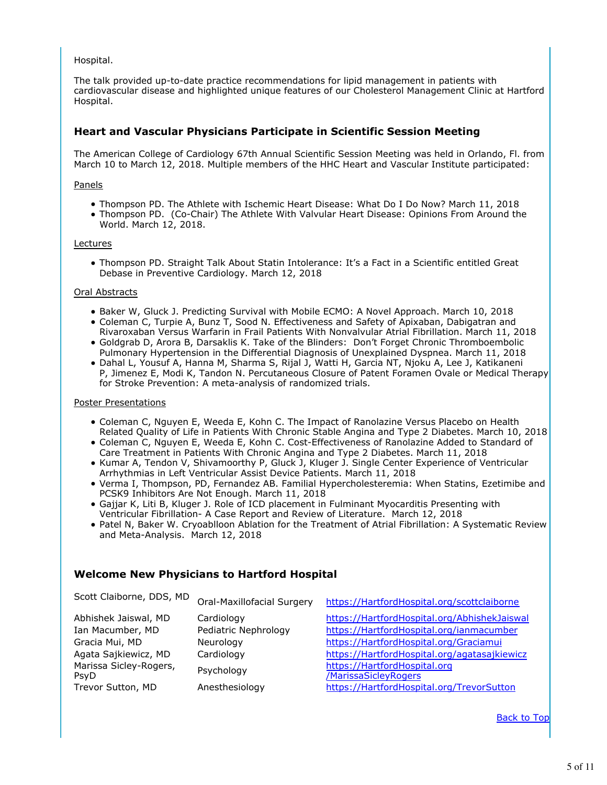Hospital.

The talk provided up-to-date practice recommendations for lipid management in patients with cardiovascular disease and highlighted unique features of our Cholesterol Management Clinic at Hartford Hospital.

## **Heart and Vascular Physicians Participate in Scientific Session Meeting**

The American College of Cardiology 67th Annual Scientific Session Meeting was held in Orlando, Fl. from March 10 to March 12, 2018. Multiple members of the HHC Heart and Vascular Institute participated:

### Panels

- Thompson PD. The Athlete with Ischemic Heart Disease: What Do I Do Now? March 11, 2018
- Thompson PD. (Co-Chair) The Athlete With Valvular Heart Disease: Opinions From Around the World. March 12, 2018.

### Lectures

Thompson PD. Straight Talk About Statin Intolerance: It's a Fact in a Scientific entitled Great Debase in Preventive Cardiology. March 12, 2018

#### Oral Abstracts

- Baker W, Gluck J. Predicting Survival with Mobile ECMO: A Novel Approach. March 10, 2018
- Coleman C, Turpie A, Bunz T, Sood N. Effectiveness and Safety of Apixaban, Dabigatran and Rivaroxaban Versus Warfarin in Frail Patients With Nonvalvular Atrial Fibrillation. March 11, 2018
- Goldgrab D, Arora B, Darsaklis K. Take of the Blinders: Don't Forget Chronic Thromboembolic Pulmonary Hypertension in the Differential Diagnosis of Unexplained Dyspnea. March 11, 2018
- Dahal L, Yousuf A, Hanna M, Sharma S, Rijal J, Watti H, Garcia NT, Njoku A, Lee J, Katikaneni P, Jimenez E, Modi K, Tandon N. Percutaneous Closure of Patent Foramen Ovale or Medical Therapy for Stroke Prevention: A meta-analysis of randomized trials.

### Poster Presentations

- Coleman C, Nguyen E, Weeda E, Kohn C. The Impact of Ranolazine Versus Placebo on Health Related Quality of Life in Patients With Chronic Stable Angina and Type 2 Diabetes. March 10, 2018
- Coleman C, Nguyen E, Weeda E, Kohn C. Cost-Effectiveness of Ranolazine Added to Standard of Care Treatment in Patients With Chronic Angina and Type 2 Diabetes. March 11, 2018
- Kumar A, Tendon V, Shivamoorthy P, Gluck J, Kluger J. Single Center Experience of Ventricular Arrhythmias in Left Ventricular Assist Device Patients. March 11, 2018
- Verma I, Thompson, PD, Fernandez AB. Familial Hypercholesteremia: When Statins, Ezetimibe and PCSK9 Inhibitors Are Not Enough. March 11, 2018
- Gajjar K, Liti B, Kluger J. Role of ICD placement in Fulminant Myocarditis Presenting with Ventricular Fibrillation- A Case Report and Review of Literature. March 12, 2018
- Patel N, Baker W. Cryoablloon Ablation for the Treatment of Atrial Fibrillation: A Systematic Review and Meta-Analysis. March 12, 2018

## **Welcome New Physicians to Hartford Hospital**

| Scott Claiborne, DDS, MD                                                                                                                  | Oral-Maxillofacial Surgery                                                                    | https://HartfordHospital.org/scottclaiborne                                                                                                                                                                                                                                             |
|-------------------------------------------------------------------------------------------------------------------------------------------|-----------------------------------------------------------------------------------------------|-----------------------------------------------------------------------------------------------------------------------------------------------------------------------------------------------------------------------------------------------------------------------------------------|
| Abhishek Jaiswal, MD<br>Ian Macumber, MD<br>Gracia Mui, MD<br>Agata Sajkiewicz, MD<br>Marissa Sicley-Rogers,<br>PsyD<br>Trevor Sutton, MD | Cardiology<br>Pediatric Nephrology<br>Neurology<br>Cardiology<br>Psychology<br>Anesthesiology | https://HartfordHospital.org/AbhishekJaiswal<br>https://HartfordHospital.org/ianmacumber<br>https://HartfordHospital.org/Graciamui<br>https://HartfordHospital.org/agatasajkiewicz<br>https://HartfordHospital.org<br>/MarissaSicleyRogers<br>https://HartfordHospital.org/TrevorSutton |
|                                                                                                                                           |                                                                                               |                                                                                                                                                                                                                                                                                         |

Back to Top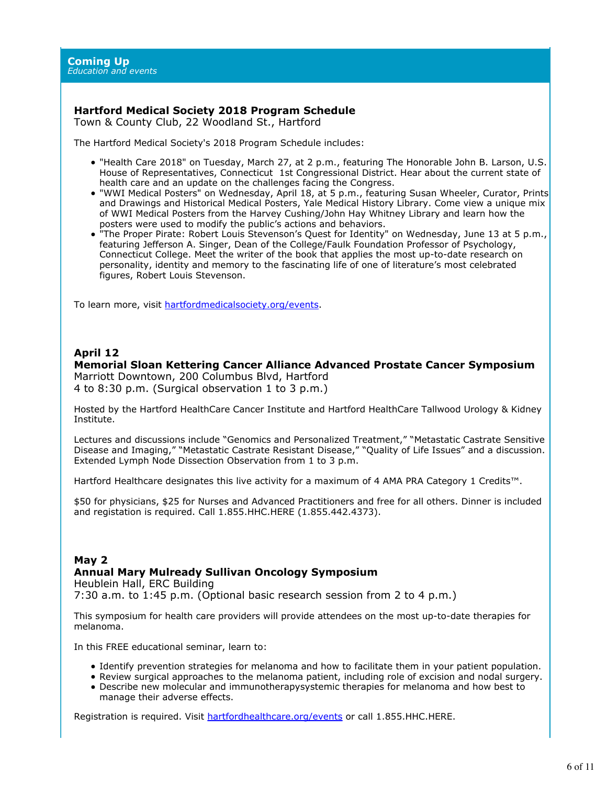# **Hartford Medical Society 2018 Program Schedule**

Town & County Club, 22 Woodland St., Hartford

The Hartford Medical Society's 2018 Program Schedule includes:

- "Health Care 2018" on Tuesday, March 27, at 2 p.m., featuring The Honorable John B. Larson, U.S. House of Representatives, Connecticut 1st Congressional District. Hear about the current state of health care and an update on the challenges facing the Congress.
- "WWI Medical Posters" on Wednesday, April 18, at 5 p.m., featuring Susan Wheeler, Curator, Prints and Drawings and Historical Medical Posters, Yale Medical History Library. Come view a unique mix of WWI Medical Posters from the Harvey Cushing/John Hay Whitney Library and learn how the posters were used to modify the public's actions and behaviors.
- "The Proper Pirate: Robert Louis Stevenson's Quest for Identity" on Wednesday, June 13 at 5 p.m., featuring Jefferson A. Singer, Dean of the College/Faulk Foundation Professor of Psychology, Connecticut College. Meet the writer of the book that applies the most up-to-date research on personality, identity and memory to the fascinating life of one of literature's most celebrated figures, Robert Louis Stevenson.

To learn more, visit hartfordmedicalsociety.org/events.

## **April 12**

# **Memorial Sloan Kettering Cancer Alliance Advanced Prostate Cancer Symposium**

Marriott Downtown, 200 Columbus Blvd, Hartford 4 to 8:30 p.m. (Surgical observation 1 to 3 p.m.)

Hosted by the Hartford HealthCare Cancer Institute and Hartford HealthCare Tallwood Urology & Kidney Institute.

Lectures and discussions include "Genomics and Personalized Treatment," "Metastatic Castrate Sensitive Disease and Imaging," "Metastatic Castrate Resistant Disease," "Quality of Life Issues" and a discussion. Extended Lymph Node Dissection Observation from 1 to 3 p.m.

Hartford Healthcare designates this live activity for a maximum of 4 AMA PRA Category 1 Credits™.

\$50 for physicians, \$25 for Nurses and Advanced Practitioners and free for all others. Dinner is included and registation is required. Call 1.855.HHC.HERE (1.855.442.4373).

# **May 2 Annual Mary Mulready Sullivan Oncology Symposium**

Heublein Hall, ERC Building 7:30 a.m. to 1:45 p.m. (Optional basic research session from 2 to 4 p.m.)

This symposium for health care providers will provide attendees on the most up-to-date therapies for melanoma.

In this FREE educational seminar, learn to:

- Identify prevention strategies for melanoma and how to facilitate them in your patient population.
- Review surgical approaches to the melanoma patient, including role of excision and nodal surgery. Describe new molecular and immunotherapysystemic therapies for melanoma and how best to
- manage their adverse effects.

Registration is required. Visit hartfordhealthcare.org/events or call 1.855.HHC.HERE.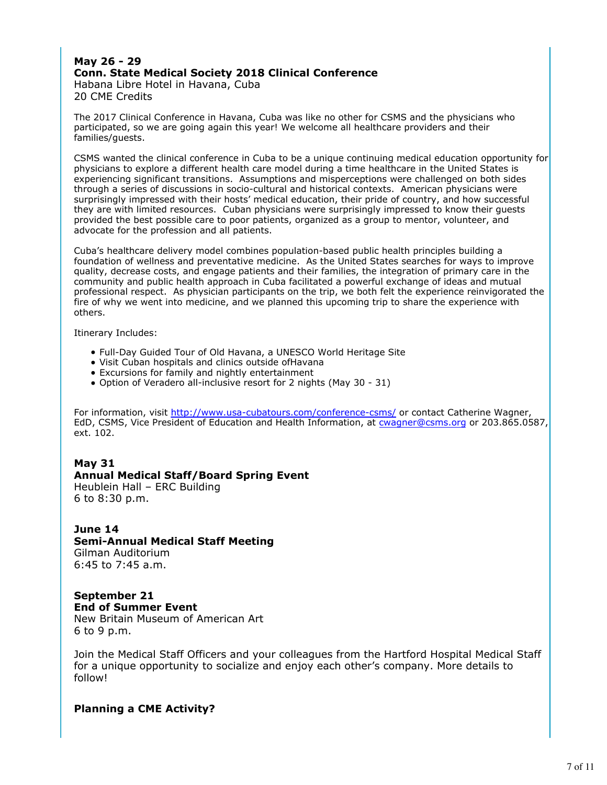## **May 26 - 29 Conn. State Medical Society 2018 Clinical Conference** Habana Libre Hotel in Havana, Cuba

20 CME Credits

The 2017 Clinical Conference in Havana, Cuba was like no other for CSMS and the physicians who participated, so we are going again this year! We welcome all healthcare providers and their families/guests.

CSMS wanted the clinical conference in Cuba to be a unique continuing medical education opportunity for physicians to explore a different health care model during a time healthcare in the United States is experiencing significant transitions. Assumptions and misperceptions were challenged on both sides through a series of discussions in socio-cultural and historical contexts. American physicians were surprisingly impressed with their hosts' medical education, their pride of country, and how successful they are with limited resources. Cuban physicians were surprisingly impressed to know their guests provided the best possible care to poor patients, organized as a group to mentor, volunteer, and advocate for the profession and all patients.

Cuba's healthcare delivery model combines population-based public health principles building a foundation of wellness and preventative medicine. As the United States searches for ways to improve quality, decrease costs, and engage patients and their families, the integration of primary care in the community and public health approach in Cuba facilitated a powerful exchange of ideas and mutual professional respect. As physician participants on the trip, we both felt the experience reinvigorated the fire of why we went into medicine, and we planned this upcoming trip to share the experience with others.

Itinerary Includes:

- Full-Day Guided Tour of Old Havana, a UNESCO World Heritage Site
- Visit Cuban hospitals and clinics outside ofHavana
- Excursions for family and nightly entertainment
- Option of Veradero all-inclusive resort for 2 nights (May 30 31)

For information, visit http://www.usa-cubatours.com/conference-csms/ or contact Catherine Wagner, EdD, CSMS, Vice President of Education and Health Information, at cwagner@csms.org or 203.865.0587, ext. 102.

## **May 31**

## **Annual Medical Staff/Board Spring Event**

Heublein Hall – ERC Building 6 to 8:30 p.m.

**June 14 Semi-Annual Medical Staff Meeting** Gilman Auditorium 6:45 to 7:45 a.m.

**September 21 End of Summer Event** New Britain Museum of American Art 6 to 9 p.m.

Join the Medical Staff Officers and your colleagues from the Hartford Hospital Medical Staff for a unique opportunity to socialize and enjoy each other's company. More details to follow!

# **Planning a CME Activity?**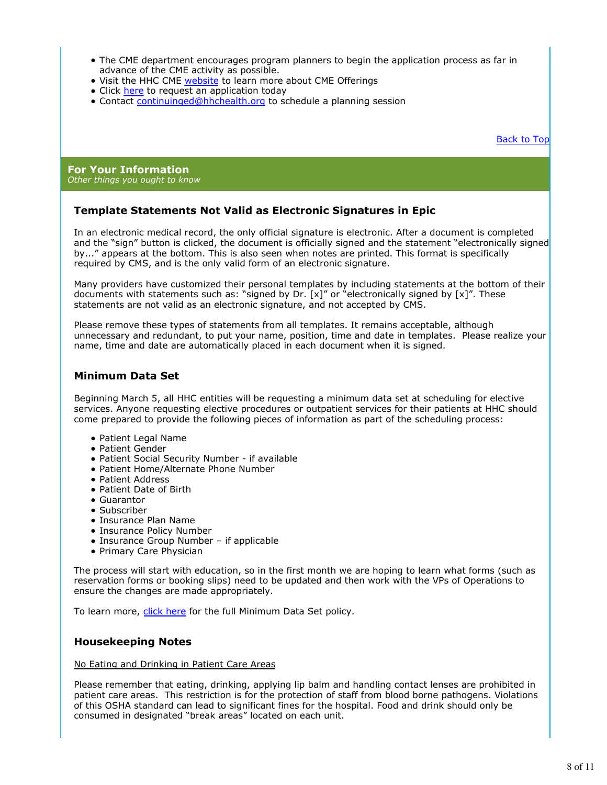- The CME department encourages program planners to begin the application process as far in advance of the CME activity as possible.
- Visit the HHC CME website to learn more about CME Offerings
- Click here to request an application today
- Contact continuinged@hhchealth.org to schedule a planning session

Back to Top

#### **For Your Information** *Other things you ought to know*

## **Template Statements Not Valid as Electronic Signatures in Epic**

In an electronic medical record, the only official signature is electronic. After a document is completed and the "sign" button is clicked, the document is officially signed and the statement "electronically signed by..." appears at the bottom. This is also seen when notes are printed. This format is specifically required by CMS, and is the only valid form of an electronic signature.

Many providers have customized their personal templates by including statements at the bottom of their documents with statements such as: "signed by Dr.  $[x]$ " or "electronically signed by  $[x]$ ". These statements are not valid as an electronic signature, and not accepted by CMS.

Please remove these types of statements from all templates. It remains acceptable, although unnecessary and redundant, to put your name, position, time and date in templates. Please realize your name, time and date are automatically placed in each document when it is signed.

# **Minimum Data Set**

Beginning March 5, all HHC entities will be requesting a minimum data set at scheduling for elective services. Anyone requesting elective procedures or outpatient services for their patients at HHC should come prepared to provide the following pieces of information as part of the scheduling process:

- Patient Legal Name
- Patient Gender
- Patient Social Security Number if available
- Patient Home/Alternate Phone Number
- Patient Address
- Patient Date of Birth
- Guarantor
- Subscriber
- Insurance Plan Name
- Insurance Policy Number
- Insurance Group Number if applicable
- Primary Care Physician

The process will start with education, so in the first month we are hoping to learn what forms (such as reservation forms or booking slips) need to be updated and then work with the VPs of Operations to ensure the changes are made appropriately.

To learn more, click here for the full Minimum Data Set policy.

## **Housekeeping Notes**

#### No Eating and Drinking in Patient Care Areas

Please remember that eating, drinking, applying lip balm and handling contact lenses are prohibited in patient care areas. This restriction is for the protection of staff from blood borne pathogens. Violations of this OSHA standard can lead to significant fines for the hospital. Food and drink should only be consumed in designated "break areas" located on each unit.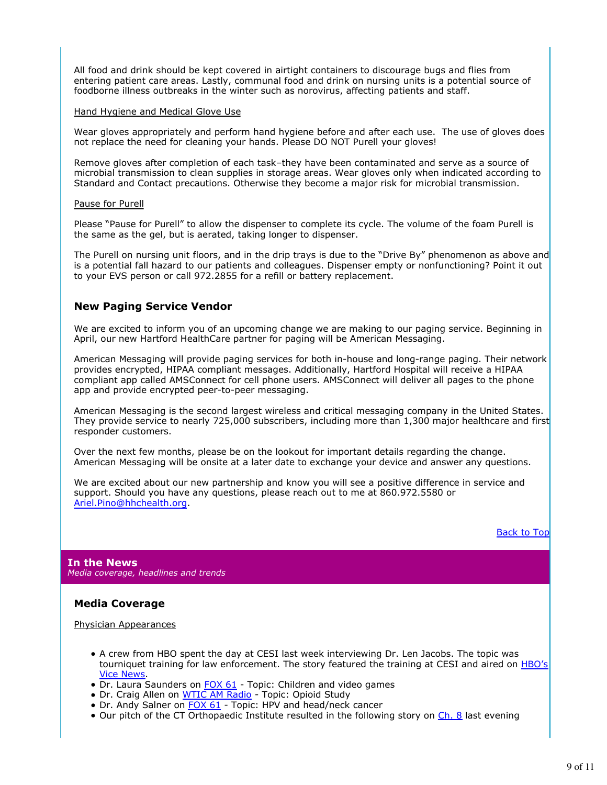All food and drink should be kept covered in airtight containers to discourage bugs and flies from entering patient care areas. Lastly, communal food and drink on nursing units is a potential source of foodborne illness outbreaks in the winter such as norovirus, affecting patients and staff.

#### Hand Hygiene and Medical Glove Use

Wear gloves appropriately and perform hand hygiene before and after each use. The use of gloves does not replace the need for cleaning your hands. Please DO NOT Purell your gloves!

Remove gloves after completion of each task–they have been contaminated and serve as a source of microbial transmission to clean supplies in storage areas. Wear gloves only when indicated according to Standard and Contact precautions. Otherwise they become a major risk for microbial transmission.

#### Pause for Purell

Please "Pause for Purell" to allow the dispenser to complete its cycle. The volume of the foam Purell is the same as the gel, but is aerated, taking longer to dispenser.

The Purell on nursing unit floors, and in the drip trays is due to the "Drive By" phenomenon as above and is a potential fall hazard to our patients and colleagues. Dispenser empty or nonfunctioning? Point it out to your EVS person or call 972.2855 for a refill or battery replacement.

## **New Paging Service Vendor**

We are excited to inform you of an upcoming change we are making to our paging service. Beginning in April, our new Hartford HealthCare partner for paging will be American Messaging.

American Messaging will provide paging services for both in-house and long-range paging. Their network provides encrypted, HIPAA compliant messages. Additionally, Hartford Hospital will receive a HIPAA compliant app called AMSConnect for cell phone users. AMSConnect will deliver all pages to the phone app and provide encrypted peer-to-peer messaging.

American Messaging is the second largest wireless and critical messaging company in the United States. They provide service to nearly 725,000 subscribers, including more than 1,300 major healthcare and first responder customers.

Over the next few months, please be on the lookout for important details regarding the change. American Messaging will be onsite at a later date to exchange your device and answer any questions.

We are excited about our new partnership and know you will see a positive difference in service and support. Should you have any questions, please reach out to me at 860.972.5580 or Ariel.Pino@hhchealth.org.

#### Back to Top

**In the News** *Media coverage, headlines and trends*

## **Media Coverage**

#### Physician Appearances

- A crew from HBO spent the day at CESI last week interviewing Dr. Len Jacobs. The topic was tourniquet training for law enforcement. The story featured the training at CESI and aired on HBO's Vice News.
- Dr. Laura Saunders on **FOX 61** Topic: Children and video games
- Dr. Craig Allen on WTIC AM Radio Topic: Opioid Study
- Dr. Andy Salner on FOX 61 Topic: HPV and head/neck cancer
- Our pitch of the CT Orthopaedic Institute resulted in the following story on Ch. 8 last evening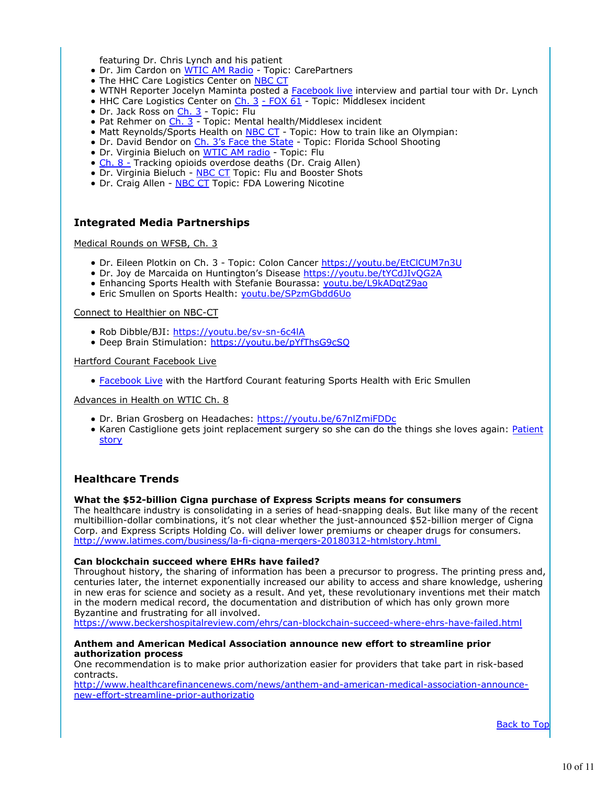featuring Dr. Chris Lynch and his patient

- Dr. Jim Cardon on WTIC AM Radio Topic: CarePartners
- The HHC Care Logistics Center on NBC CT
- WTNH Reporter Jocelyn Maminta posted a Facebook live interview and partial tour with Dr. Lynch
- $\bullet$  HHC Care Logistics Center on  $\frac{\mathsf{Ch. 3 FOX \, \overline{61}}}{\mathsf{C1 Topic: Middlesex}}$  incident
- Dr. Jack Ross on Ch. 3 Topic: Flu
- Pat Rehmer on Ch. 3 Topic: Mental health/Middlesex incident
- Matt Reynolds/Sports Health on **NBC CT** Topic: How to train like an Olympian:
- Dr. David Bendor on Ch. 3's Face the State Topic: Florida School Shooting
- · Dr. Virginia Bieluch on WTIC AM radio Topic: Flu
- Ch. 8 Tracking opioids overdose deaths (Dr. Craig Allen)
- Dr. Virginia Bieluch NBC CT Topic: Flu and Booster Shots
- Dr. Craig Allen NBC CT Topic: FDA Lowering Nicotine

## **Integrated Media Partnerships**

Medical Rounds on WFSB, Ch. 3

- Dr. Eileen Plotkin on Ch. 3 Topic: Colon Cancer https://youtu.be/EtClCUM7n3U
- Dr. Joy de Marcaida on Huntington's Disease https://youtu.be/tYCdJIvQG2A
- Enhancing Sports Health with Stefanie Bourassa: youtu.be/L9kADqtZ9ao
- **Eric Smullen on Sports Health: youtu.be/SPzmGbdd6Uo**

#### Connect to Healthier on NBC-CT

- Rob Dibble/BJI: https://youtu.be/sv-sn-6c4lA
- · Deep Brain Stimulation: https://youtu.be/pYfThsG9cSQ

#### Hartford Courant Facebook Live

**• Facebook Live with the Hartford Courant featuring Sports Health with Eric Smullen** 

#### Advances in Health on WTIC Ch. 8

- Dr. Brian Grosberg on Headaches: https://youtu.be/67nlZmiFDDc
- Karen Castiglione gets joint replacement surgery so she can do the things she loves again: Patient story

### **Healthcare Trends**

#### **What the \$52-billion Cigna purchase of Express Scripts means for consumers**

The healthcare industry is consolidating in a series of head-snapping deals. But like many of the recent multibillion-dollar combinations, it's not clear whether the just-announced \$52-billion merger of Cigna Corp. and Express Scripts Holding Co. will deliver lower premiums or cheaper drugs for consumers. http://www.latimes.com/business/la-fi-cigna-mergers-20180312-htmlstory.html

#### **Can blockchain succeed where EHRs have failed?**

Throughout history, the sharing of information has been a precursor to progress. The printing press and, centuries later, the internet exponentially increased our ability to access and share knowledge, ushering in new eras for science and society as a result. And yet, these revolutionary inventions met their match in the modern medical record, the documentation and distribution of which has only grown more Byzantine and frustrating for all involved.

https://www.beckershospitalreview.com/ehrs/can-blockchain-succeed-where-ehrs-have-failed.html

#### **Anthem and American Medical Association announce new effort to streamline prior authorization process**

One recommendation is to make prior authorization easier for providers that take part in risk-based contracts.

http://www.healthcarefinancenews.com/news/anthem-and-american-medical-association-announcenew-effort-streamline-prior-authorizatio

Back to Top